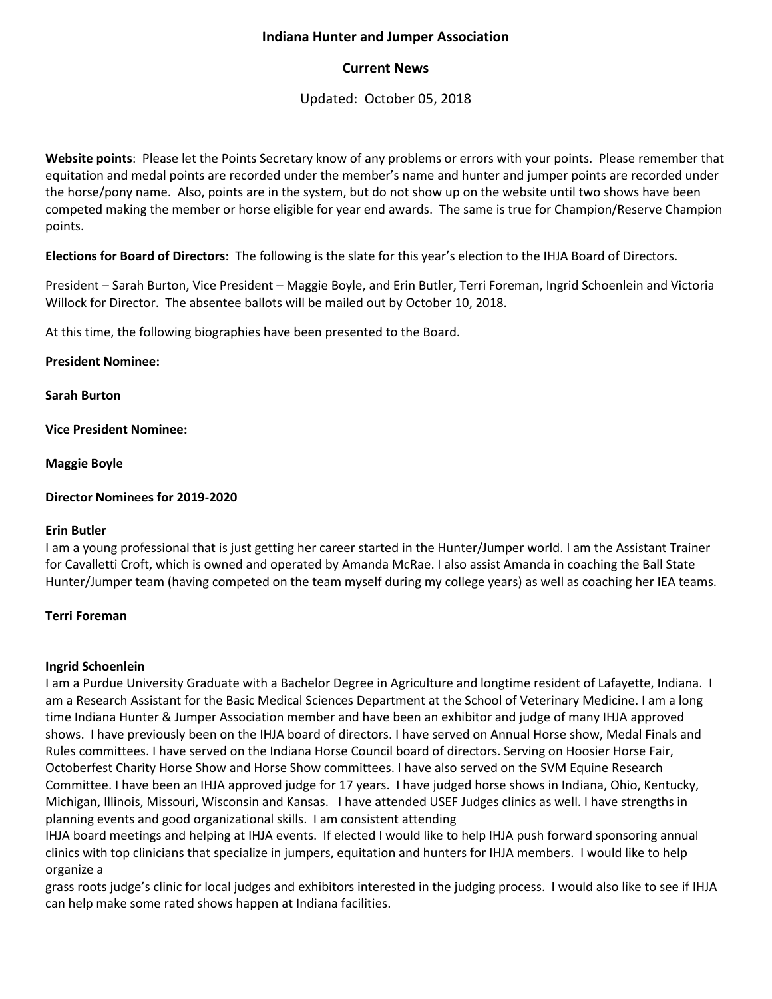# **Indiana Hunter and Jumper Association**

# **Current News**

Updated: October 05, 2018

**Website points**: Please let the Points Secretary know of any problems or errors with your points. Please remember that equitation and medal points are recorded under the member's name and hunter and jumper points are recorded under the horse/pony name. Also, points are in the system, but do not show up on the website until two shows have been competed making the member or horse eligible for year end awards. The same is true for Champion/Reserve Champion points.

**Elections for Board of Directors**: The following is the slate for this year's election to the IHJA Board of Directors.

President – Sarah Burton, Vice President – Maggie Boyle, and Erin Butler, Terri Foreman, Ingrid Schoenlein and Victoria Willock for Director. The absentee ballots will be mailed out by October 10, 2018.

At this time, the following biographies have been presented to the Board.

**President Nominee:**

**Sarah Burton**

**Vice President Nominee:**

**Maggie Boyle**

**Director Nominees for 2019-2020**

## **Erin Butler**

I am a young professional that is just getting her career started in the Hunter/Jumper world. I am the Assistant Trainer for Cavalletti Croft, which is owned and operated by Amanda McRae. I also assist Amanda in coaching the Ball State Hunter/Jumper team (having competed on the team myself during my college years) as well as coaching her IEA teams.

## **Terri Foreman**

## **Ingrid Schoenlein**

I am a Purdue University Graduate with a Bachelor Degree in Agriculture and longtime resident of Lafayette, Indiana. I am a Research Assistant for the Basic Medical Sciences Department at the School of Veterinary Medicine. I am a long time Indiana Hunter & Jumper Association member and have been an exhibitor and judge of many IHJA approved shows. I have previously been on the IHJA board of directors. I have served on Annual Horse show, Medal Finals and Rules committees. I have served on the Indiana Horse Council board of directors. Serving on Hoosier Horse Fair, Octoberfest Charity Horse Show and Horse Show committees. I have also served on the SVM Equine Research Committee. I have been an IHJA approved judge for 17 years. I have judged horse shows in Indiana, Ohio, Kentucky, Michigan, Illinois, Missouri, Wisconsin and Kansas. I have attended USEF Judges clinics as well. I have strengths in planning events and good organizational skills. I am consistent attending

IHJA board meetings and helping at IHJA events. If elected I would like to help IHJA push forward sponsoring annual clinics with top clinicians that specialize in jumpers, equitation and hunters for IHJA members. I would like to help organize a

grass roots judge's clinic for local judges and exhibitors interested in the judging process. I would also like to see if IHJA can help make some rated shows happen at Indiana facilities.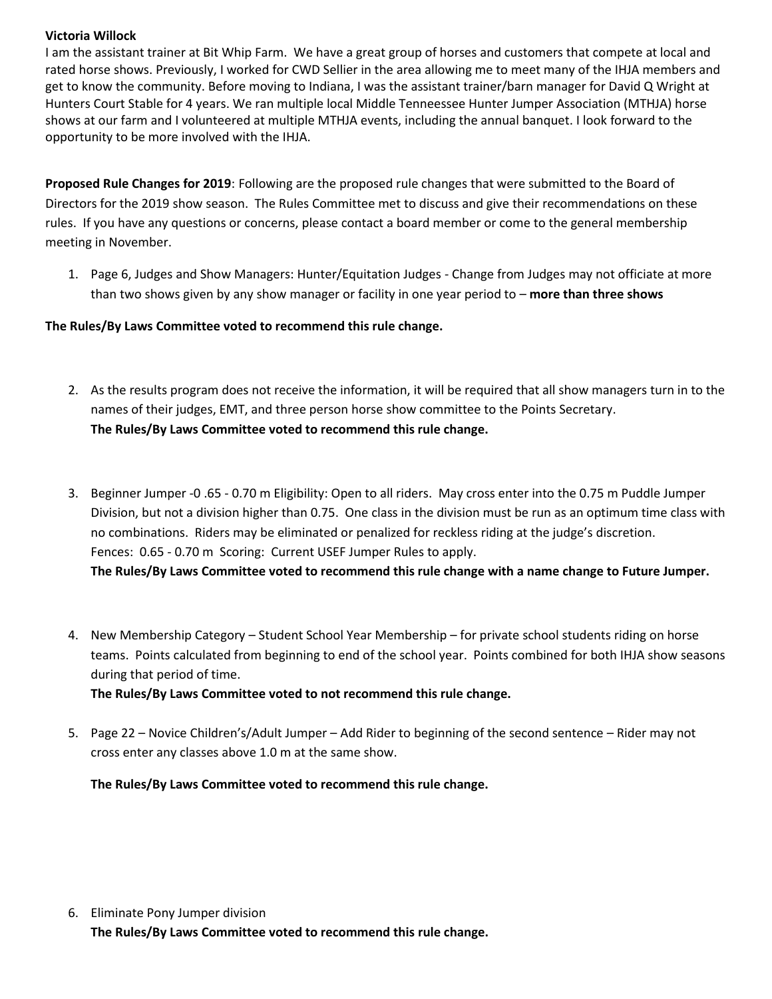#### **Victoria Willock**

I am the assistant trainer at Bit Whip Farm. We have a great group of horses and customers that compete at local and rated horse shows. Previously, I worked for CWD Sellier in the area allowing me to meet many of the IHJA members and get to know the community. Before moving to Indiana, I was the assistant trainer/barn manager for David Q Wright at Hunters Court Stable for 4 years. We ran multiple local Middle Tenneessee Hunter Jumper Association (MTHJA) horse shows at our farm and I volunteered at multiple MTHJA events, including the annual banquet. I look forward to the opportunity to be more involved with the IHJA.

**Proposed Rule Changes for 2019**: Following are the proposed rule changes that were submitted to the Board of Directors for the 2019 show season. The Rules Committee met to discuss and give their recommendations on these rules. If you have any questions or concerns, please contact a board member or come to the general membership meeting in November.

1. Page 6, Judges and Show Managers: Hunter/Equitation Judges - Change from Judges may not officiate at more than two shows given by any show manager or facility in one year period to – **more than three shows**

# **The Rules/By Laws Committee voted to recommend this rule change.**

- 2. As the results program does not receive the information, it will be required that all show managers turn in to the names of their judges, EMT, and three person horse show committee to the Points Secretary. **The Rules/By Laws Committee voted to recommend this rule change.**
- 3. Beginner Jumper -0 .65 0.70 m Eligibility: Open to all riders. May cross enter into the 0.75 m Puddle Jumper Division, but not a division higher than 0.75. One class in the division must be run as an optimum time class with no combinations. Riders may be eliminated or penalized for reckless riding at the judge's discretion. Fences: 0.65 - 0.70 m Scoring: Current USEF Jumper Rules to apply. **The Rules/By Laws Committee voted to recommend this rule change with a name change to Future Jumper.**
- 4. New Membership Category Student School Year Membership for private school students riding on horse teams. Points calculated from beginning to end of the school year. Points combined for both IHJA show seasons during that period of time. **The Rules/By Laws Committee voted to not recommend this rule change.**
- 5. Page 22 Novice Children's/Adult Jumper Add Rider to beginning of the second sentence Rider may not cross enter any classes above 1.0 m at the same show.

## **The Rules/By Laws Committee voted to recommend this rule change.**

6. Eliminate Pony Jumper division **The Rules/By Laws Committee voted to recommend this rule change.**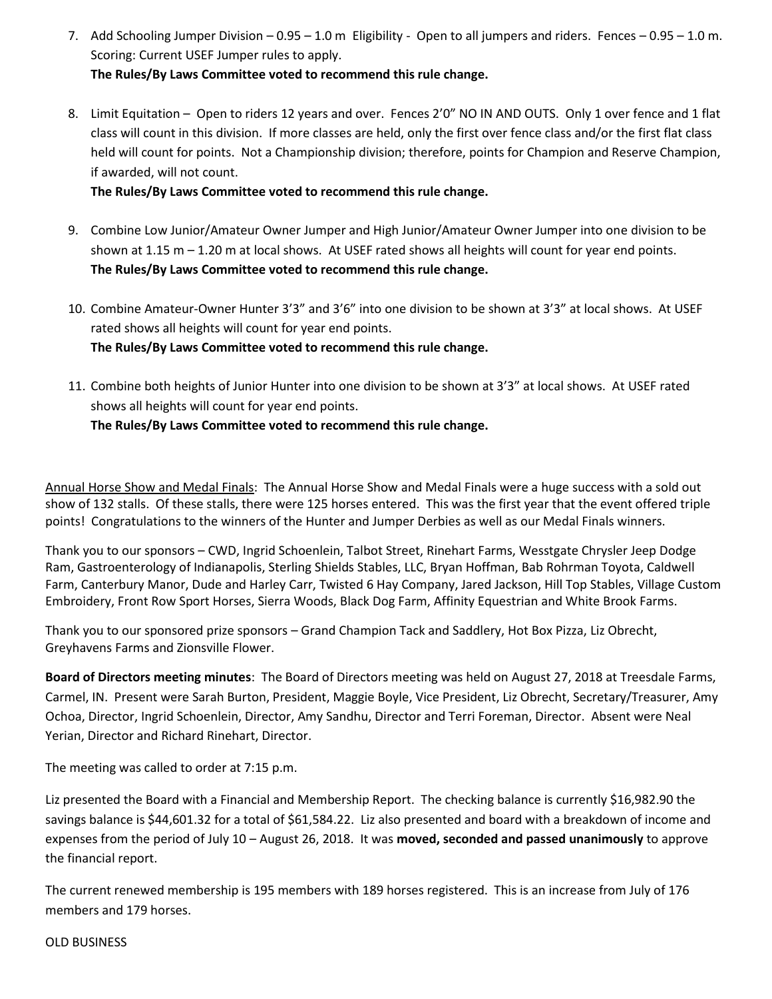- 7. Add Schooling Jumper Division 0.95 1.0 m Eligibility Open to all jumpers and riders. Fences 0.95 1.0 m. Scoring: Current USEF Jumper rules to apply. **The Rules/By Laws Committee voted to recommend this rule change.**
- 8. Limit Equitation Open to riders 12 years and over. Fences 2'0" NO IN AND OUTS. Only 1 over fence and 1 flat class will count in this division. If more classes are held, only the first over fence class and/or the first flat class held will count for points. Not a Championship division; therefore, points for Champion and Reserve Champion, if awarded, will not count.

**The Rules/By Laws Committee voted to recommend this rule change.**

- 9. Combine Low Junior/Amateur Owner Jumper and High Junior/Amateur Owner Jumper into one division to be shown at 1.15 m - 1.20 m at local shows. At USEF rated shows all heights will count for year end points. **The Rules/By Laws Committee voted to recommend this rule change.**
- 10. Combine Amateur-Owner Hunter 3'3" and 3'6" into one division to be shown at 3'3" at local shows. At USEF rated shows all heights will count for year end points. **The Rules/By Laws Committee voted to recommend this rule change.**
- 11. Combine both heights of Junior Hunter into one division to be shown at 3'3" at local shows. At USEF rated shows all heights will count for year end points.

# **The Rules/By Laws Committee voted to recommend this rule change.**

Annual Horse Show and Medal Finals: The Annual Horse Show and Medal Finals were a huge success with a sold out show of 132 stalls. Of these stalls, there were 125 horses entered. This was the first year that the event offered triple points! Congratulations to the winners of the Hunter and Jumper Derbies as well as our Medal Finals winners.

Thank you to our sponsors – CWD, Ingrid Schoenlein, Talbot Street, Rinehart Farms, Wesstgate Chrysler Jeep Dodge Ram, Gastroenterology of Indianapolis, Sterling Shields Stables, LLC, Bryan Hoffman, Bab Rohrman Toyota, Caldwell Farm, Canterbury Manor, Dude and Harley Carr, Twisted 6 Hay Company, Jared Jackson, Hill Top Stables, Village Custom Embroidery, Front Row Sport Horses, Sierra Woods, Black Dog Farm, Affinity Equestrian and White Brook Farms.

Thank you to our sponsored prize sponsors – Grand Champion Tack and Saddlery, Hot Box Pizza, Liz Obrecht, Greyhavens Farms and Zionsville Flower.

**Board of Directors meeting minutes**: The Board of Directors meeting was held on August 27, 2018 at Treesdale Farms, Carmel, IN.Present were Sarah Burton, President, Maggie Boyle, Vice President, Liz Obrecht, Secretary/Treasurer, Amy Ochoa, Director, Ingrid Schoenlein, Director, Amy Sandhu, Director and Terri Foreman, Director. Absent were Neal Yerian, Director and Richard Rinehart, Director.

The meeting was called to order at 7:15 p.m.

Liz presented the Board with a Financial and Membership Report. The checking balance is currently \$16,982.90 the savings balance is \$44,601.32 for a total of \$61,584.22. Liz also presented and board with a breakdown of income and expenses from the period of July 10 – August 26, 2018. It was **moved, seconded and passed unanimously** to approve the financial report.

The current renewed membership is 195 members with 189 horses registered. This is an increase from July of 176 members and 179 horses.

OLD BUSINESS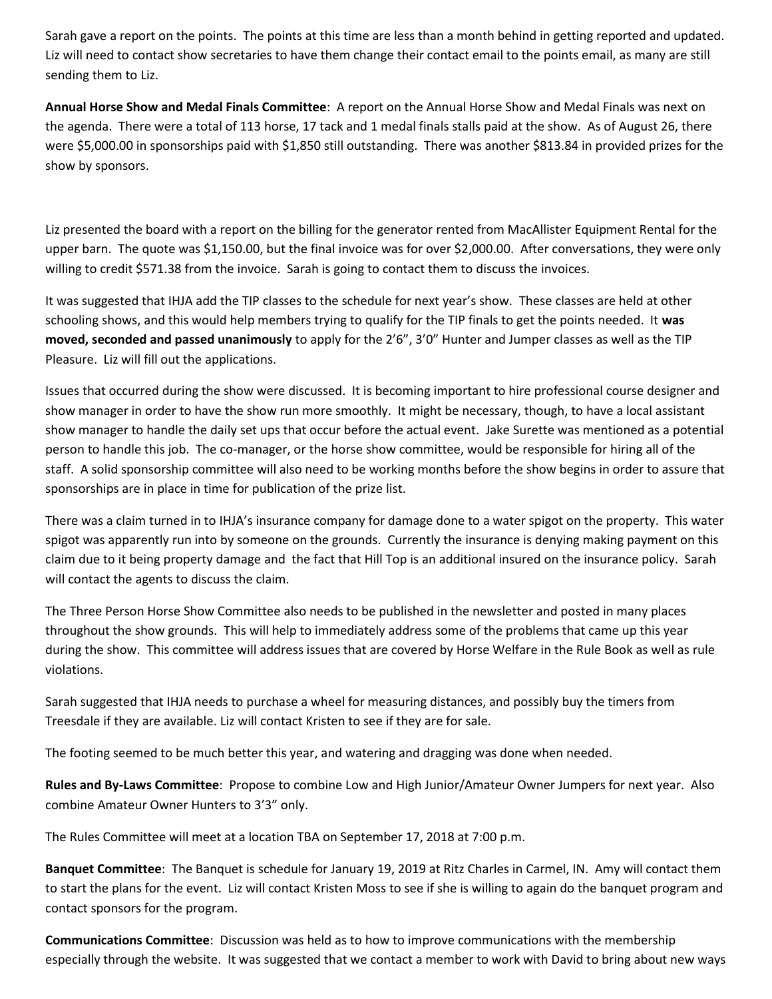Sarah gave a report on the points. The points at this time are less than a month behind in getting reported and updated. Liz will need to contact show secretaries to have them change their contact email to the points email, as many are still sending them to Liz.

**Annual Horse Show and Medal Finals Committee**: A report on the Annual Horse Show and Medal Finals was next on the agenda. There were a total of 113 horse, 17 tack and 1 medal finals stalls paid at the show. As of August 26, there were \$5,000.00 in sponsorships paid with \$1,850 still outstanding. There was another \$813.84 in provided prizes for the show by sponsors.

Liz presented the board with a report on the billing for the generator rented from MacAllister Equipment Rental for the upper barn. The quote was \$1,150.00, but the final invoice was for over \$2,000.00. After conversations, they were only willing to credit \$571.38 from the invoice. Sarah is going to contact them to discuss the invoices.

It was suggested that IHJA add the TIP classes to the schedule for next year's show. These classes are held at other schooling shows, and this would help members trying to qualify for the TIP finals to get the points needed. It **was moved, seconded and passed unanimously** to apply for the 2'6", 3'0" Hunter and Jumper classes as well as the TIP Pleasure. Liz will fill out the applications.

Issues that occurred during the show were discussed. It is becoming important to hire professional course designer and show manager in order to have the show run more smoothly. It might be necessary, though, to have a local assistant show manager to handle the daily set ups that occur before the actual event. Jake Surette was mentioned as a potential person to handle this job. The co-manager, or the horse show committee, would be responsible for hiring all of the staff. A solid sponsorship committee will also need to be working months before the show begins in order to assure that sponsorships are in place in time for publication of the prize list.

There was a claim turned in to IHJA's insurance company for damage done to a water spigot on the property. This water spigot was apparently run into by someone on the grounds. Currently the insurance is denying making payment on this claim due to it being property damage and the fact that Hill Top is an additional insured on the insurance policy. Sarah will contact the agents to discuss the claim.

The Three Person Horse Show Committee also needs to be published in the newsletter and posted in many places throughout the show grounds. This will help to immediately address some of the problems that came up this year during the show. This committee will address issues that are covered by Horse Welfare in the Rule Book as well as rule violations.

Sarah suggested that IHJA needs to purchase a wheel for measuring distances, and possibly buy the timers from Treesdale if they are available. Liz will contact Kristen to see if they are for sale.

The footing seemed to be much better this year, and watering and dragging was done when needed.

**Rules and By-Laws Committee**: Propose to combine Low and High Junior/Amateur Owner Jumpers for next year. Also combine Amateur Owner Hunters to 3'3" only.

The Rules Committee will meet at a location TBA on September 17, 2018 at 7:00 p.m.

**Banquet Committee**: The Banquet is schedule for January 19, 2019 at Ritz Charles in Carmel, IN. Amy will contact them to start the plans for the event. Liz will contact Kristen Moss to see if she is willing to again do the banquet program and contact sponsors for the program.

**Communications Committee**: Discussion was held as to how to improve communications with the membership especially through the website. It was suggested that we contact a member to work with David to bring about new ways